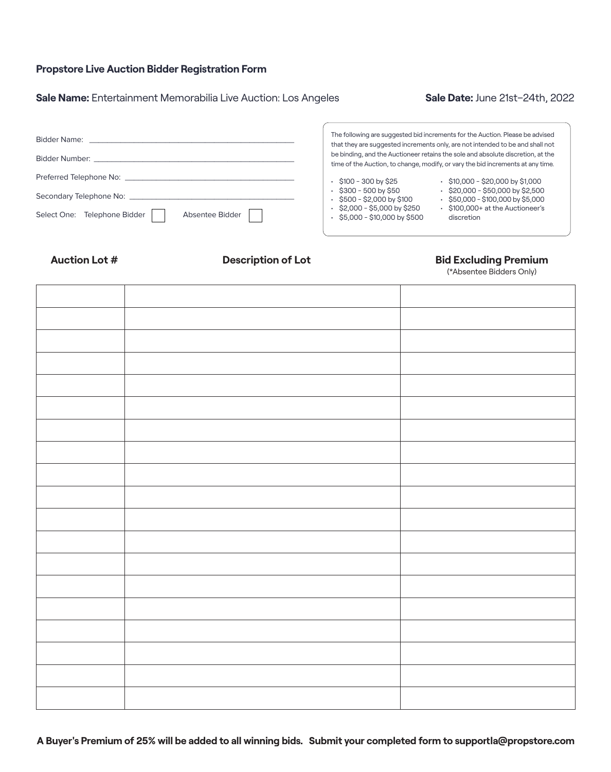# **Propstore Live Auction Bidder Registration Form**

# Sale Name: Entertainment Memorabilia Live Auction: Los Angeles **Sale Date: June 21st-24th, 2022**

| <b>Bidder Name:</b>                                                                                             | The following are suggested bid increments for the Auction. Please be advised<br>that they are suggested increments only, are not intended to be and shall not     |
|-----------------------------------------------------------------------------------------------------------------|--------------------------------------------------------------------------------------------------------------------------------------------------------------------|
| Bidder Number: Web and the control of the control of the control of the control of the control of the control o | be binding, and the Auctioneer retains the sole and absolute discretion, at the<br>time of the Auction, to change, modify, or vary the bid increments at any time. |
| Preferred Telephone No:                                                                                         | $\cdot$ \$10,000 - \$20,000 by \$1,000<br>\$100 - 300 by \$25                                                                                                      |
|                                                                                                                 | $\cdot$ \$20,000 - \$50,000 by \$2,500<br>\$300 - 500 by \$50<br>\$500 - \$2,000 by \$100<br>$\cdot$ \$50,000 - \$100,000 by \$5,000                               |
| Select One: Telephone Bidder<br>Absentee Bidder                                                                 | \$2,000 - \$5,000 by \$250<br>• \$100,000+ at the Auctioneer's<br>$\cdot$ \$5,000 - \$10,000 by \$500<br>discretion                                                |
|                                                                                                                 |                                                                                                                                                                    |

### Auction Lot # **Description of Lot Bid Excluding Premium**

(\*Absentee Bidders Only)